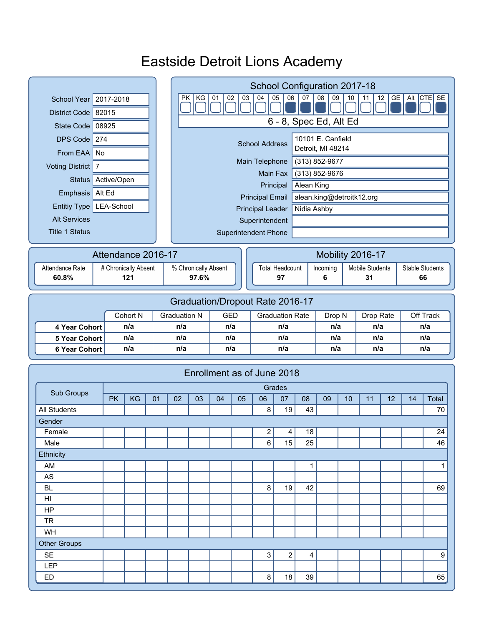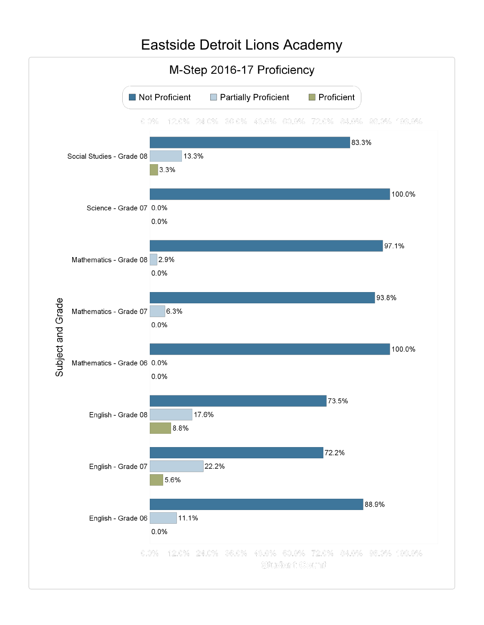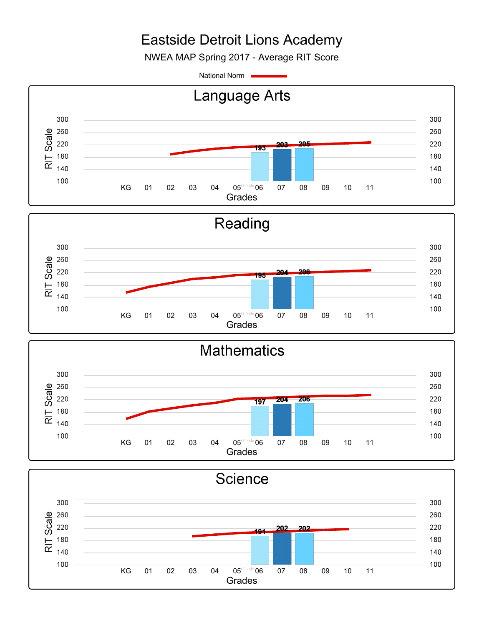NWEA MAP Spring 2017 - Average RIT Score

National Norm



KG 01 02 03 04 05 06 07 08 09 10 11 Grades